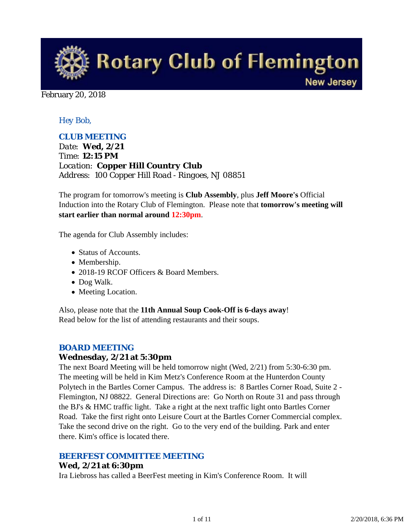

#### February 20, 2018

### *Hey Bob,*

### *CLUB MEETING*

*Date: Wed, 2/21 Time: 12:15 PM Location: Copper Hill Country Club Address: 100 Copper Hill Road - Ringoes, NJ 08851*

The program for tomorrow's meeting is **Club Assembly**, plus **Jeff Moore's** Official Induction into the Rotary Club of Flemington. Please note that **tomorrow's meeting will start earlier than normal around 12:30pm**.

The agenda for Club Assembly includes:

- Status of Accounts.
- Membership.
- 2018-19 RCOF Officers & Board Members.
- Dog Walk.
- Meeting Location.

Also, please note that the **11th Annual Soup Cook-Off is 6-days away**! Read below for the list of attending restaurants and their soups.

#### *BOARD MEETING*

#### **Wednesday, 2/21 at 5:30pm**

The next Board Meeting will be held tomorrow night (Wed, 2/21) from 5:30-6:30 pm. The meeting will be held in Kim Metz's Conference Room at the Hunterdon County Polytech in the Bartles Corner Campus. The address is: 8 Bartles Corner Road, Suite 2 - Flemington, NJ 08822. General Directions are: Go North on Route 31 and pass through the BJ's & HMC traffic light. Take a right at the next traffic light onto Bartles Corner Road. Take the first right onto Leisure Court at the Bartles Corner Commercial complex. Take the second drive on the right. Go to the very end of the building. Park and enter there. Kim's office is located there.

#### *BEERFEST COMMITTEE MEETING*

#### **Wed, 2/21 at 6:30pm**

Ira Liebross has called a BeerFest meeting in Kim's Conference Room. It will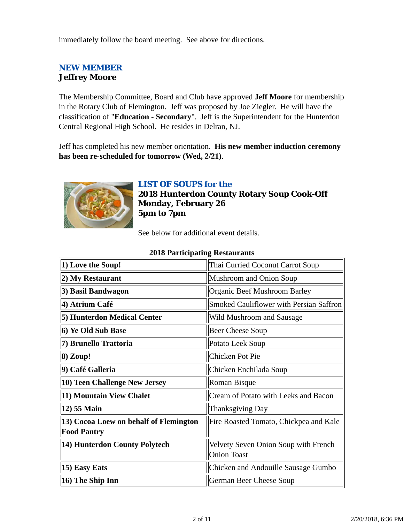immediately follow the board meeting. See above for directions.

# *NEW MEMBER* **Jeffrey Moore**

The Membership Committee, Board and Club have approved **Jeff Moore** for membership in the Rotary Club of Flemington. Jeff was proposed by Joe Ziegler. He will have the classification of "**Education - Secondary**". Jeff is the Superintendent for the Hunterdon Central Regional High School. He resides in Delran, NJ.

Jeff has completed his new member orientation. **His new member induction ceremony has been re-scheduled for tomorrow (Wed, 2/21)**.



# *LIST OF SOUPS for the*

**2018 Hunterdon County Rotary Soup Cook-Off Monday, February 26 5pm to 7pm**

See below for additional event details.

| 1) Love the Soup!                                            | Thai Curried Coconut Carrot Soup                           |  |
|--------------------------------------------------------------|------------------------------------------------------------|--|
| (2) My Restaurant                                            | Mushroom and Onion Soup                                    |  |
| 3) Basil Bandwagon                                           | Organic Beef Mushroom Barley                               |  |
| 4) Atrium Café                                               | <b>Smoked Cauliflower with Persian Saffron</b>             |  |
| 5) Hunterdon Medical Center                                  | Wild Mushroom and Sausage                                  |  |
| 6) Ye Old Sub Base                                           | <b>Beer Cheese Soup</b>                                    |  |
| 7) Brunello Trattoria                                        | Potato Leek Soup                                           |  |
| $8)$ Zoup!                                                   | Chicken Pot Pie                                            |  |
| 9) Café Galleria                                             | Chicken Enchilada Soup                                     |  |
| 10) Teen Challenge New Jersey                                | <b>Roman Bisque</b>                                        |  |
| 11) Mountain View Chalet                                     | Cream of Potato with Leeks and Bacon                       |  |
| 12) 55 Main                                                  | <b>Thanksgiving Day</b>                                    |  |
| 13) Cocoa Loew on behalf of Flemington<br><b>Food Pantry</b> | Fire Roasted Tomato, Chickpea and Kale                     |  |
| 14) Hunterdon County Polytech                                | Velvety Seven Onion Soup with French<br><b>Onion Toast</b> |  |
| 15) Easy Eats                                                | Chicken and Andouille Sausage Gumbo                        |  |
| 16) The Ship Inn                                             | German Beer Cheese Soup                                    |  |

### **2018 Participating Restaurants**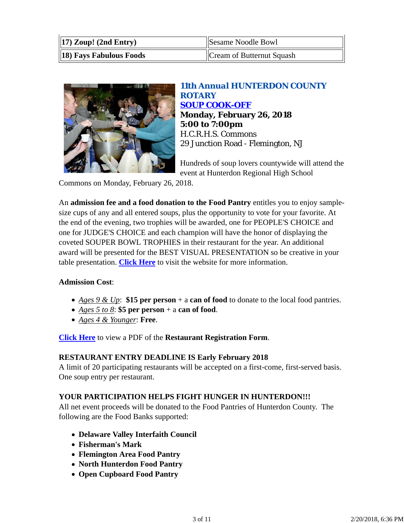| $\vert$ (17) Zoup! (2nd Entry) | Sesame Noodle Bowl        |  |
|--------------------------------|---------------------------|--|
| <b>18) Fays Fabulous Foods</b> | Cream of Butternut Squash |  |



## *11th Annual HUNTERDON COUNTY ROTARY SOUP COOK-OFF* **Monday, February 26, 2018 5:00 to 7:00pm** H.C.R.H.S. Commons 29 Junction Road - Flemington, NJ

Hundreds of soup lovers countywide will attend the event at Hunterdon Regional High School

Commons on Monday, February 26, 2018.

An **admission fee and a food donation to the Food Pantry** entitles you to enjoy samplesize cups of any and all entered soups, plus the opportunity to vote for your favorite. At the end of the evening, two trophies will be awarded, one for PEOPLE'S CHOICE and one for JUDGE'S CHOICE and each champion will have the honor of displaying the coveted SOUPER BOWL TROPHIES in their restaurant for the year. An additional award will be presented for the BEST VISUAL PRESENTATION so be creative in your table presentation. **Click Here** to visit the website for more information.

### **Admission Cost**:

- *Ages 9 & Up*: **\$15 per person** + a **can of food** to donate to the local food pantries.
- *Ages 5 to 8*: **\$5 per person** + a **can of food**.
- *Ages 4 & Younger*: **Free**.

**Click Here** to view a PDF of the **Restaurant Registration Form**.

### **RESTAURANT ENTRY DEADLINE IS Early February 2018**

A limit of 20 participating restaurants will be accepted on a first-come, first-served basis. One soup entry per restaurant.

### **YOUR PARTICIPATION HELPS FIGHT HUNGER IN HUNTERDON!!!**

All net event proceeds will be donated to the Food Pantries of Hunterdon County. The following are the Food Banks supported:

- **Delaware Valley Interfaith Council**
- **Fisherman's Mark**
- **Flemington Area Food Pantry**
- **North Hunterdon Food Pantry**
- **Open Cupboard Food Pantry**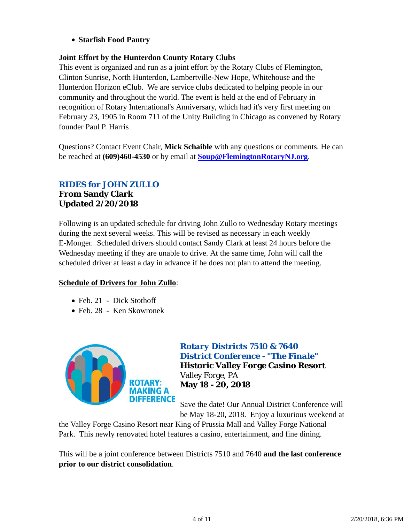### **Starfish Food Pantry**

### **Joint Effort by the Hunterdon County Rotary Clubs**

This event is organized and run as a joint effort by the Rotary Clubs of Flemington, Clinton Sunrise, North Hunterdon, Lambertville-New Hope, Whitehouse and the Hunterdon Horizon eClub. We are service clubs dedicated to helping people in our community and throughout the world. The event is held at the end of February in recognition of Rotary International's Anniversary, which had it's very first meeting on February 23, 1905 in Room 711 of the Unity Building in Chicago as convened by Rotary founder Paul P. Harris

Questions? Contact Event Chair, **Mick Schaible** with any questions or comments. He can be reached at **(609)460-4530** or by email at **Soup@FlemingtonRotaryNJ.org**.

# *RIDES for JOHN ZULLO*

## **From Sandy Clark Updated 2/20/2018**

Following is an updated schedule for driving John Zullo to Wednesday Rotary meetings during the next several weeks. This will be revised as necessary in each weekly E-Monger. Scheduled drivers should contact Sandy Clark at least 24 hours before the Wednesday meeting if they are unable to drive. At the same time, John will call the scheduled driver at least a day in advance if he does not plan to attend the meeting.

### **Schedule of Drivers for John Zullo**:

- Feb. 21 Dick Stothoff
- Feb. 28 Ken Skowronek



### *Rotary Districts 7510 & 7640 District Conference - "The Finale"*

**Historic Valley Forge Casino Resort** Valley Forge, PA **May 18 - 20, 2018**

Save the date! Our Annual District Conference will be May 18-20, 2018. Enjoy a luxurious weekend at

the Valley Forge Casino Resort near King of Prussia Mall and Valley Forge National Park. This newly renovated hotel features a casino, entertainment, and fine dining.

This will be a joint conference between Districts 7510 and 7640 **and the last conference prior to our district consolidation**.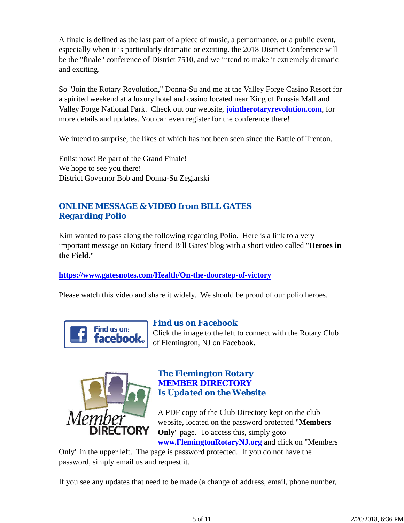A finale is defined as the last part of a piece of music, a performance, or a public event, especially when it is particularly dramatic or exciting. the 2018 District Conference will be the "finale" conference of District 7510, and we intend to make it extremely dramatic and exciting.

So "Join the Rotary Revolution," Donna-Su and me at the Valley Forge Casino Resort for a spirited weekend at a luxury hotel and casino located near King of Prussia Mall and Valley Forge National Park. Check out our website, **jointherotaryrevolution.com**, for more details and updates. You can even register for the conference there!

We intend to surprise, the likes of which has not been seen since the Battle of Trenton.

Enlist now! Be part of the Grand Finale! We hope to see you there! District Governor Bob and Donna-Su Zeglarski

# *ONLINE MESSAGE & VIDEO from BILL GATES Regarding Polio*

Kim wanted to pass along the following regarding Polio. Here is a link to a very important message on Rotary friend Bill Gates' blog with a short video called "**Heroes in the Field**."

### **https://www.gatesnotes.com/Health/On-the-doorstep-of-victory**

Please watch this video and share it widely. We should be proud of our polio heroes.



### *Find us on Facebook*

Click the image to the left to connect with the Rotary Club of Flemington, NJ on Facebook.



### *The Flemington Rotary MEMBER DIRECTORY Is Updated on the Website*

A PDF copy of the Club Directory kept on the club website, located on the password protected "**Members Only**" page. To access this, simply goto **www.FlemingtonRotaryNJ.org** and click on "Members

Only" in the upper left. The page is password protected. If you do not have the password, simply email us and request it.

If you see any updates that need to be made (a change of address, email, phone number,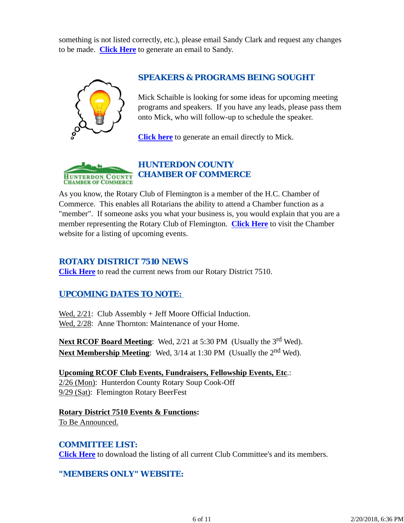something is not listed correctly, etc.), please email Sandy Clark and request any changes to be made. **Click Here** to generate an email to Sandy.



### *SPEAKERS & PROGRAMS BEING SOUGHT*

Mick Schaible is looking for some ideas for upcoming meeting programs and speakers. If you have any leads, please pass them onto Mick, who will follow-up to schedule the speaker.

**Click here** to generate an email directly to Mick.



As you know, the Rotary Club of Flemington is a member of the H.C. Chamber of Commerce. This enables all Rotarians the ability to attend a Chamber function as a "member". If someone asks you what your business is, you would explain that you are a member representing the Rotary Club of Flemington. **Click Here** to visit the Chamber website for a listing of upcoming events.

#### *ROTARY DISTRICT 7510 NEWS*

**Click Here** to read the current news from our Rotary District 7510.

### *UPCOMING DATES TO NOTE:*

Wed,  $2/21$ : Club Assembly + Jeff Moore Official Induction. Wed, 2/28: Anne Thornton: Maintenance of your Home.

Next RCOF Board Meeting: Wed, 2/21 at 5:30 PM (Usually the 3<sup>rd</sup> Wed). **Next Membership Meeting:** Wed, 3/14 at 1:30 PM (Usually the 2<sup>nd</sup> Wed).

**Upcoming RCOF Club Events, Fundraisers, Fellowship Events, Etc**.: 2/26 (Mon): Hunterdon County Rotary Soup Cook-Off 9/29 (Sat): Flemington Rotary BeerFest

**Rotary District 7510 Events & Functions:** To Be Announced.

### *COMMITTEE LIST:*

**Click Here** to download the listing of all current Club Committee's and its members.

### *"MEMBERS ONLY" WEBSITE:*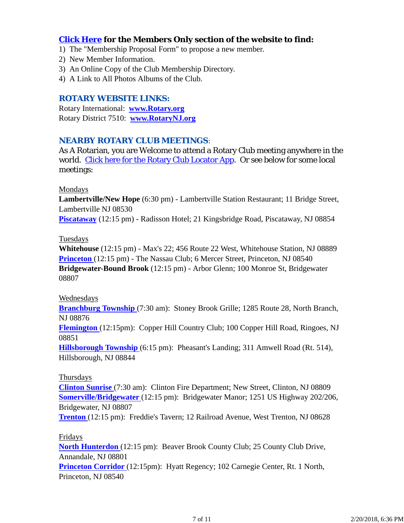### **Click Here for the Members Only section of the website to find:**

- 1) The "Membership Proposal Form" to propose a new member.
- 2) New Member Information.
- 3) An Online Copy of the Club Membership Directory.
- 4) A Link to All Photos Albums of the Club.

#### *ROTARY WEBSITE LINKS:*

Rotary International: **www.Rotary.org** Rotary District 7510: **www.RotaryNJ.org**

### *NEARBY ROTARY CLUB MEETINGS:*

As A Rotarian, you are Welcome to attend a Rotary Club meeting anywhere in the world. Click here for the Rotary Club Locator App. Or see below for some local meetings:

#### Mondays

**Lambertville/New Hope** (6:30 pm) - Lambertville Station Restaurant; 11 Bridge Street, Lambertville NJ 08530

**Piscataway** (12:15 pm) - Radisson Hotel; 21 Kingsbridge Road, Piscataway, NJ 08854

### Tuesdays

**Whitehouse** (12:15 pm) - Max's 22; 456 Route 22 West, Whitehouse Station, NJ 08889 **Princeton** (12:15 pm) - The Nassau Club; 6 Mercer Street, Princeton, NJ 08540 **Bridgewater-Bound Brook** (12:15 pm) - Arbor Glenn; 100 Monroe St, Bridgewater 08807

#### Wednesdays

**Branchburg Township** (7:30 am): Stoney Brook Grille; 1285 Route 28, North Branch, NJ 08876

**Flemington** (12:15pm): Copper Hill Country Club; 100 Copper Hill Road, Ringoes, NJ 08851

**Hillsborough Township** (6:15 pm): Pheasant's Landing; 311 Amwell Road (Rt. 514), Hillsborough, NJ 08844

#### Thursdays

**Clinton Sunrise** (7:30 am): Clinton Fire Department; New Street, Clinton, NJ 08809 **Somerville/Bridgewater** (12:15 pm): Bridgewater Manor; 1251 US Highway 202/206, Bridgewater, NJ 08807

**Trenton** (12:15 pm): Freddie's Tavern; 12 Railroad Avenue, West Trenton, NJ 08628

#### Fridays

**North Hunterdon** (12:15 pm): Beaver Brook County Club; 25 County Club Drive, Annandale, NJ 08801

**Princeton Corridor** (12:15pm): Hyatt Regency; 102 Carnegie Center, Rt. 1 North, Princeton, NJ 08540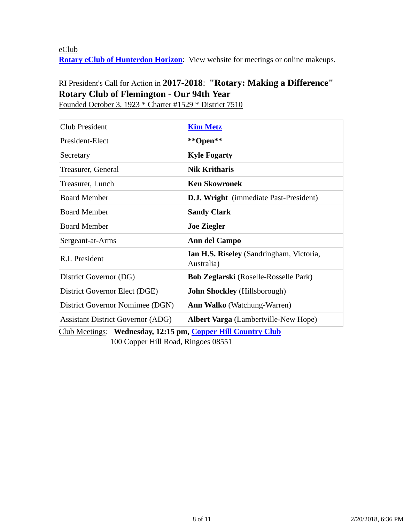eClub **Rotary eClub of Hunterdon Horizon**: View website for meetings or online makeups.

# RI President's Call for Action in **2017-2018**: **"Rotary: Making a Difference" Rotary Club of Flemington - Our 94th Year**

Club President **Kim Metz** President-Elect **\*\*Open\*\*** Secretary **Kyle Fogarty** Treasurer, General **Nik Kritharis** Treasurer, Lunch **Ken Skowronek** Board Member **D.J. Wright** (immediate Past-President) **Board Member Sandy Clark** Board Member **Joe Ziegler** Sergeant-at-Arms **Ann del Campo** R.I. President **Ian H.S. Riseley** (Sandringham, Victoria, Australia) District Governor (DG) **Bob Zeglarski** (Roselle-Rosselle Park) District Governor Elect (DGE) **John Shockley** (Hillsborough) District Governor Nomimee (DGN) **Ann Walko** (Watchung-Warren) Assistant District Governor (ADG) **Albert Varga** (Lambertville-New Hope)

Founded October 3, 1923 \* Charter #1529 \* District 7510

Club Meetings: **Wednesday, 12:15 pm, Copper Hill Country Club** 100 Copper Hill Road, Ringoes 08551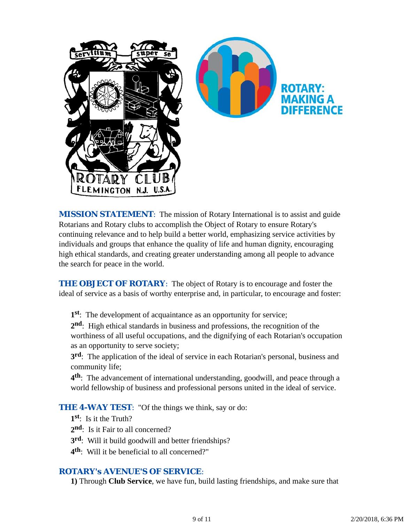

*MISSION STATEMENT*: The mission of Rotary International is to assist and guide Rotarians and Rotary clubs to accomplish the Object of Rotary to ensure Rotary's continuing relevance and to help build a better world, emphasizing service activities by individuals and groups that enhance the quality of life and human dignity, encouraging high ethical standards, and creating greater understanding among all people to advance the search for peace in the world.

**THE OBJECT OF ROTARY:** The object of Rotary is to encourage and foster the ideal of service as a basis of worthy enterprise and, in particular, to encourage and foster:

**1st**: The development of acquaintance as an opportunity for service;

**2nd**: High ethical standards in business and professions, the recognition of the worthiness of all useful occupations, and the dignifying of each Rotarian's occupation as an opportunity to serve society;

**3rd**: The application of the ideal of service in each Rotarian's personal, business and community life;

**4th**: The advancement of international understanding, goodwill, and peace through a world fellowship of business and professional persons united in the ideal of service.

**THE 4-WAY TEST:** "Of the things we think, say or do:

**1st**: Is it the Truth?

2<sup>nd</sup>: Is it Fair to all concerned?

- **3rd**: Will it build goodwill and better friendships?
- **4th**: Will it be beneficial to all concerned?"

### *ROTARY's AVENUE'S OF SERVICE*:

**1)** Through **Club Service**, we have fun, build lasting friendships, and make sure that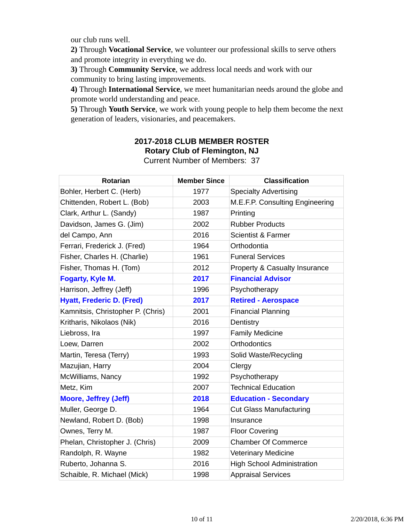our club runs well.

**2)** Through **Vocational Service**, we volunteer our professional skills to serve others and promote integrity in everything we do.

**3)** Through **Community Service**, we address local needs and work with our community to bring lasting improvements.

**4)** Through **International Service**, we meet humanitarian needs around the globe and promote world understanding and peace.

**5)** Through **Youth Service**, we work with young people to help them become the next generation of leaders, visionaries, and peacemakers.

# **2017-2018 CLUB MEMBER ROSTER Rotary Club of Flemington, NJ**

Current Number of Members: 37

| <b>Rotarian</b>                   | <b>Member Since</b> | <b>Classification</b>             |
|-----------------------------------|---------------------|-----------------------------------|
| Bohler, Herbert C. (Herb)         | 1977                | <b>Specialty Advertising</b>      |
| Chittenden, Robert L. (Bob)       | 2003                | M.E.F.P. Consulting Engineering   |
| Clark, Arthur L. (Sandy)          | 1987                | Printing                          |
| Davidson, James G. (Jim)          | 2002                | <b>Rubber Products</b>            |
| del Campo, Ann                    | 2016                | <b>Scientist &amp; Farmer</b>     |
| Ferrari, Frederick J. (Fred)      | 1964                | Orthodontia                       |
| Fisher, Charles H. (Charlie)      | 1961                | <b>Funeral Services</b>           |
| Fisher, Thomas H. (Tom)           | 2012                | Property & Casualty Insurance     |
| Fogarty, Kyle M.                  | 2017                | <b>Financial Advisor</b>          |
| Harrison, Jeffrey (Jeff)          | 1996                | Psychotherapy                     |
| <b>Hyatt, Frederic D. (Fred)</b>  | 2017                | <b>Retired - Aerospace</b>        |
| Kamnitsis, Christopher P. (Chris) | 2001                | <b>Financial Planning</b>         |
| Kritharis, Nikolaos (Nik)         | 2016                | Dentistry                         |
| Liebross, Ira                     | 1997                | <b>Family Medicine</b>            |
| Loew, Darren                      | 2002                | <b>Orthodontics</b>               |
| Martin, Teresa (Terry)            | 1993                | Solid Waste/Recycling             |
| Mazujian, Harry                   | 2004                | Clergy                            |
| McWilliams, Nancy                 | 1992                | Psychotherapy                     |
| Metz, Kim                         | 2007                | <b>Technical Education</b>        |
| <b>Moore, Jeffrey (Jeff)</b>      | 2018                | <b>Education - Secondary</b>      |
| Muller, George D.                 | 1964                | <b>Cut Glass Manufacturing</b>    |
| Newland, Robert D. (Bob)          | 1998                | Insurance                         |
| Ownes, Terry M.                   | 1987                | <b>Floor Covering</b>             |
| Phelan, Christopher J. (Chris)    | 2009                | <b>Chamber Of Commerce</b>        |
| Randolph, R. Wayne                | 1982                | Veterinary Medicine               |
| Ruberto, Johanna S.               | 2016                | <b>High School Administration</b> |
| Schaible, R. Michael (Mick)       | 1998                | <b>Appraisal Services</b>         |